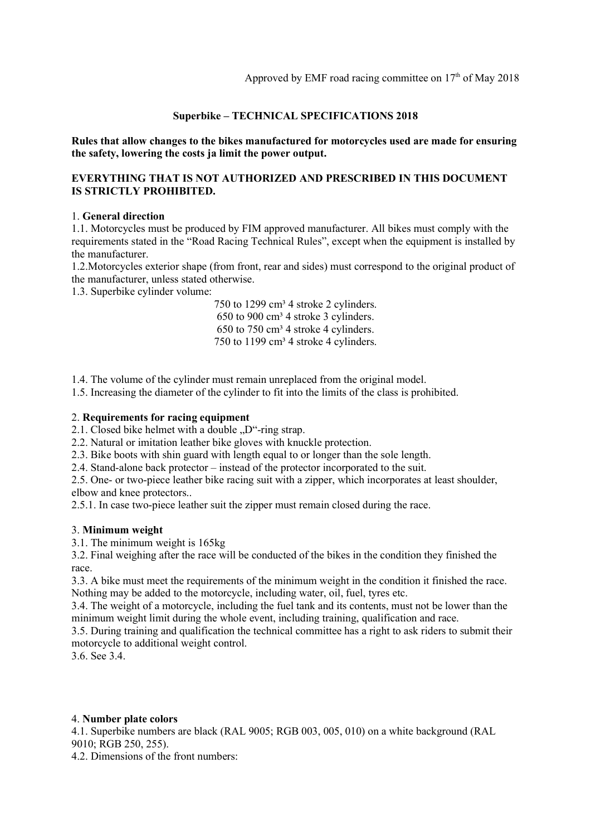### Superbike – TECHNICAL SPECIFICATIONS 2018

Rules that allow changes to the bikes manufactured for motorcycles used are made for ensuring the safety, lowering the costs ja limit the power output.

### EVERYTHING THAT IS NOT AUTHORIZED AND PRESCRIBED IN THIS DOCUMENT IS STRICTLY PROHIBITED.

#### 1. General direction

1.1. Motorcycles must be produced by FIM approved manufacturer. All bikes must comply with the requirements stated in the "Road Racing Technical Rules", except when the equipment is installed by the manufacturer.

1.2.Motorcycles exterior shape (from front, rear and sides) must correspond to the original product of the manufacturer, unless stated otherwise.

1.3. Superbike cylinder volume:

750 to 1299 cm<sup>3</sup> 4 stroke 2 cylinders.  $650$  to  $900 \text{ cm}^3$  4 stroke 3 cylinders. 650 to 750 cm³ 4 stroke 4 cylinders. 750 to 1199 cm<sup>3</sup> 4 stroke 4 cylinders.

1.4. The volume of the cylinder must remain unreplaced from the original model.

1.5. Increasing the diameter of the cylinder to fit into the limits of the class is prohibited.

#### 2. Requirements for racing equipment

2.1. Closed bike helmet with a double  $D^{\prime\prime}$ -ring strap.

2.2. Natural or imitation leather bike gloves with knuckle protection.

2.3. Bike boots with shin guard with length equal to or longer than the sole length.

2.4. Stand-alone back protector – instead of the protector incorporated to the suit.

2.5. One- or two-piece leather bike racing suit with a zipper, which incorporates at least shoulder, elbow and knee protectors..

2.5.1. In case two-piece leather suit the zipper must remain closed during the race.

### 3. Minimum weight

3.1. The minimum weight is 165kg

3.2. Final weighing after the race will be conducted of the bikes in the condition they finished the race.

3.3. A bike must meet the requirements of the minimum weight in the condition it finished the race. Nothing may be added to the motorcycle, including water, oil, fuel, tyres etc.

3.4. The weight of a motorcycle, including the fuel tank and its contents, must not be lower than the minimum weight limit during the whole event, including training, qualification and race.

3.5. During training and qualification the technical committee has a right to ask riders to submit their motorcycle to additional weight control.

3.6. See 3.4.

#### 4. Number plate colors

4.1. Superbike numbers are black (RAL 9005; RGB 003, 005, 010) on a white background (RAL 9010; RGB 250, 255).

4.2. Dimensions of the front numbers: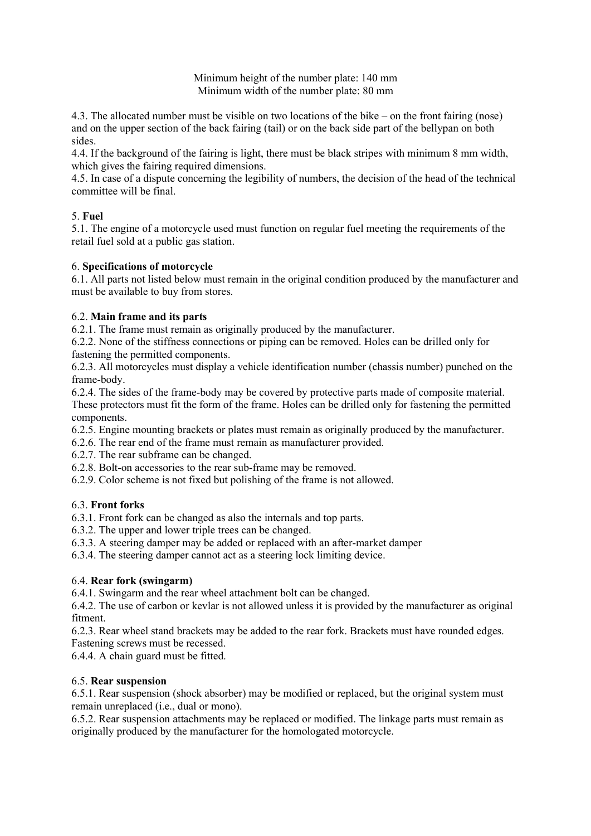Minimum height of the number plate: 140 mm Minimum width of the number plate: 80 mm

4.3. The allocated number must be visible on two locations of the bike – on the front fairing (nose) and on the upper section of the back fairing (tail) or on the back side part of the bellypan on both sides.

4.4. If the background of the fairing is light, there must be black stripes with minimum 8 mm width, which gives the fairing required dimensions.

4.5. In case of a dispute concerning the legibility of numbers, the decision of the head of the technical committee will be final.

# 5. Fuel

5.1. The engine of a motorcycle used must function on regular fuel meeting the requirements of the retail fuel sold at a public gas station.

# 6. Specifications of motorcycle

6.1. All parts not listed below must remain in the original condition produced by the manufacturer and must be available to buy from stores.

# 6.2. Main frame and its parts

6.2.1. The frame must remain as originally produced by the manufacturer.

6.2.2. None of the stiffness connections or piping can be removed. Holes can be drilled only for fastening the permitted components.

6.2.3. All motorcycles must display a vehicle identification number (chassis number) punched on the frame-body.

6.2.4. The sides of the frame-body may be covered by protective parts made of composite material. These protectors must fit the form of the frame. Holes can be drilled only for fastening the permitted components.

6.2.5. Engine mounting brackets or plates must remain as originally produced by the manufacturer.

6.2.6. The rear end of the frame must remain as manufacturer provided.

6.2.7. The rear subframe can be changed.

- 6.2.8. Bolt-on accessories to the rear sub-frame may be removed.
- 6.2.9. Color scheme is not fixed but polishing of the frame is not allowed.

# 6.3. Front forks

6.3.1. Front fork can be changed as also the internals and top parts.

6.3.2. The upper and lower triple trees can be changed.

6.3.3. A steering damper may be added or replaced with an after-market damper

6.3.4. The steering damper cannot act as a steering lock limiting device.

# 6.4. Rear fork (swingarm)

6.4.1. Swingarm and the rear wheel attachment bolt can be changed.

6.4.2. The use of carbon or kevlar is not allowed unless it is provided by the manufacturer as original fitment.

6.2.3. Rear wheel stand brackets may be added to the rear fork. Brackets must have rounded edges.

Fastening screws must be recessed.

6.4.4. A chain guard must be fitted.

# 6.5. Rear suspension

6.5.1. Rear suspension (shock absorber) may be modified or replaced, but the original system must remain unreplaced (i.e., dual or mono).

6.5.2. Rear suspension attachments may be replaced or modified. The linkage parts must remain as originally produced by the manufacturer for the homologated motorcycle.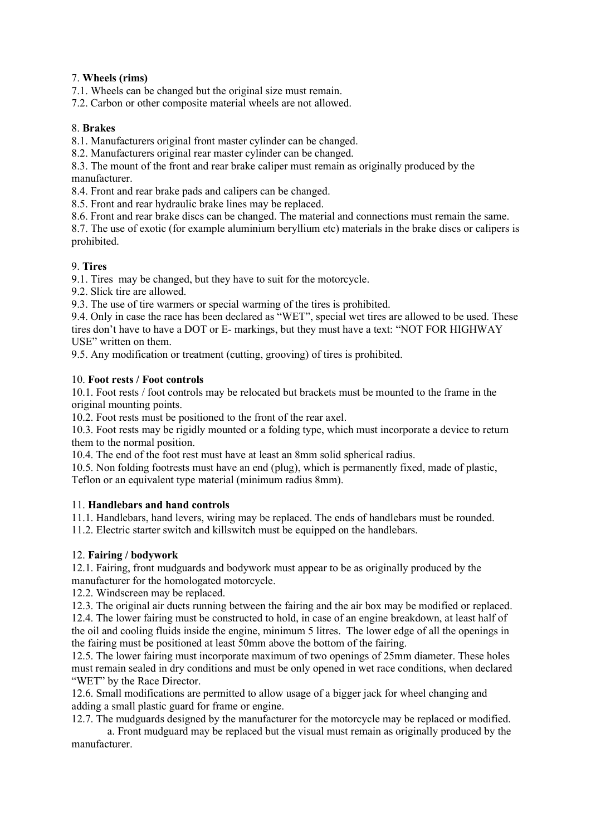# 7. Wheels (rims)

7.1. Wheels can be changed but the original size must remain.

7.2. Carbon or other composite material wheels are not allowed.

### 8. Brakes

8.1. Manufacturers original front master cylinder can be changed.

8.2. Manufacturers original rear master cylinder can be changed.

8.3. The mount of the front and rear brake caliper must remain as originally produced by the manufacturer.

8.4. Front and rear brake pads and calipers can be changed.

8.5. Front and rear hydraulic brake lines may be replaced.

8.6. Front and rear brake discs can be changed. The material and connections must remain the same.

8.7. The use of exotic (for example aluminium beryllium etc) materials in the brake discs or calipers is prohibited.

### 9. Tires

9.1. Tires may be changed, but they have to suit for the motorcycle.

9.2. Slick tire are allowed.

9.3. The use of tire warmers or special warming of the tires is prohibited.

9.4. Only in case the race has been declared as "WET", special wet tires are allowed to be used. These tires don't have to have a DOT or E- markings, but they must have a text: "NOT FOR HIGHWAY USE" written on them.

9.5. Any modification or treatment (cutting, grooving) of tires is prohibited.

### 10. Foot rests / Foot controls

10.1. Foot rests / foot controls may be relocated but brackets must be mounted to the frame in the original mounting points.

10.2. Foot rests must be positioned to the front of the rear axel.

10.3. Foot rests may be rigidly mounted or a folding type, which must incorporate a device to return them to the normal position.

10.4. The end of the foot rest must have at least an 8mm solid spherical radius.

10.5. Non folding footrests must have an end (plug), which is permanently fixed, made of plastic, Teflon or an equivalent type material (minimum radius 8mm).

### 11. Handlebars and hand controls

11.1. Handlebars, hand levers, wiring may be replaced. The ends of handlebars must be rounded.

11.2. Electric starter switch and killswitch must be equipped on the handlebars.

### 12. Fairing / bodywork

12.1. Fairing, front mudguards and bodywork must appear to be as originally produced by the manufacturer for the homologated motorcycle.

12.2. Windscreen may be replaced.

12.3. The original air ducts running between the fairing and the air box may be modified or replaced. 12.4. The lower fairing must be constructed to hold, in case of an engine breakdown, at least half of the oil and cooling fluids inside the engine, minimum 5 litres. The lower edge of all the openings in the fairing must be positioned at least 50mm above the bottom of the fairing.

12.5. The lower fairing must incorporate maximum of two openings of 25mm diameter. These holes must remain sealed in dry conditions and must be only opened in wet race conditions, when declared "WET" by the Race Director.

12.6. Small modifications are permitted to allow usage of a bigger jack for wheel changing and adding a small plastic guard for frame or engine.

12.7. The mudguards designed by the manufacturer for the motorcycle may be replaced or modified.

a. Front mudguard may be replaced but the visual must remain as originally produced by the manufacturer.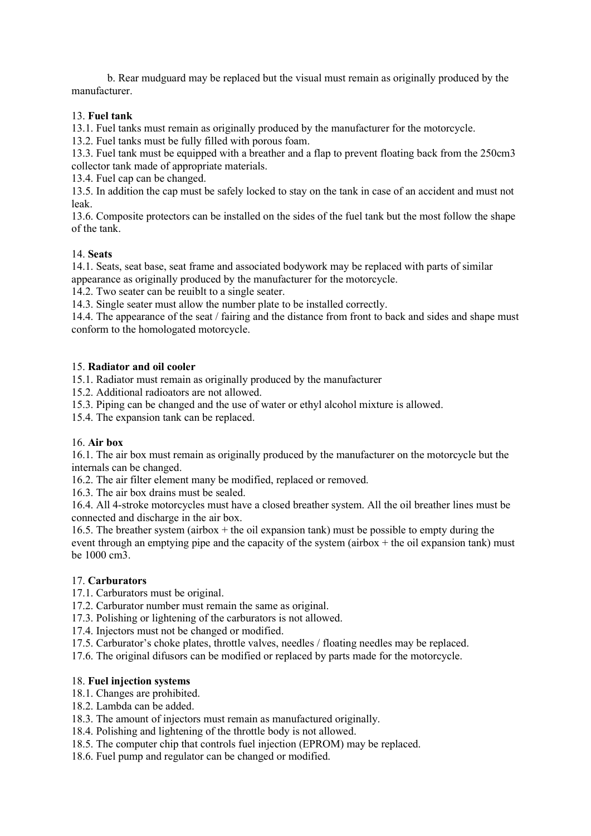b. Rear mudguard may be replaced but the visual must remain as originally produced by the manufacturer.

## 13. Fuel tank

13.1. Fuel tanks must remain as originally produced by the manufacturer for the motorcycle.

13.2. Fuel tanks must be fully filled with porous foam.

13.3. Fuel tank must be equipped with a breather and a flap to prevent floating back from the 250cm3 collector tank made of appropriate materials.

13.4. Fuel cap can be changed.

13.5. In addition the cap must be safely locked to stay on the tank in case of an accident and must not leak.

13.6. Composite protectors can be installed on the sides of the fuel tank but the most follow the shape of the tank.

### 14. Seats

14.1. Seats, seat base, seat frame and associated bodywork may be replaced with parts of similar appearance as originally produced by the manufacturer for the motorcycle.

14.2. Two seater can be reuiblt to a single seater.

14.3. Single seater must allow the number plate to be installed correctly.

14.4. The appearance of the seat / fairing and the distance from front to back and sides and shape must conform to the homologated motorcycle.

### 15. Radiator and oil cooler

15.1. Radiator must remain as originally produced by the manufacturer

15.2. Additional radioators are not allowed.

15.3. Piping can be changed and the use of water or ethyl alcohol mixture is allowed.

15.4. The expansion tank can be replaced.

### 16. Air box

16.1. The air box must remain as originally produced by the manufacturer on the motorcycle but the internals can be changed.

16.2. The air filter element many be modified, replaced or removed.

16.3. The air box drains must be sealed.

16.4. All 4-stroke motorcycles must have a closed breather system. All the oil breather lines must be connected and discharge in the air box.

16.5. The breather system (airbox  $+$  the oil expansion tank) must be possible to empty during the event through an emptying pipe and the capacity of the system (airbox  $+$  the oil expansion tank) must be 1000 cm3.

# 17. Carburators

17.1. Carburators must be original.

17.2. Carburator number must remain the same as original.

17.3. Polishing or lightening of the carburators is not allowed.

17.4. Injectors must not be changed or modified.

17.5. Carburator's choke plates, throttle valves, needles / floating needles may be replaced.

17.6. The original difusors can be modified or replaced by parts made for the motorcycle.

### 18. Fuel injection systems

18.1. Changes are prohibited.

18.2. Lambda can be added.

18.3. The amount of injectors must remain as manufactured originally.

18.4. Polishing and lightening of the throttle body is not allowed.

18.5. The computer chip that controls fuel injection (EPROM) may be replaced.

18.6. Fuel pump and regulator can be changed or modified.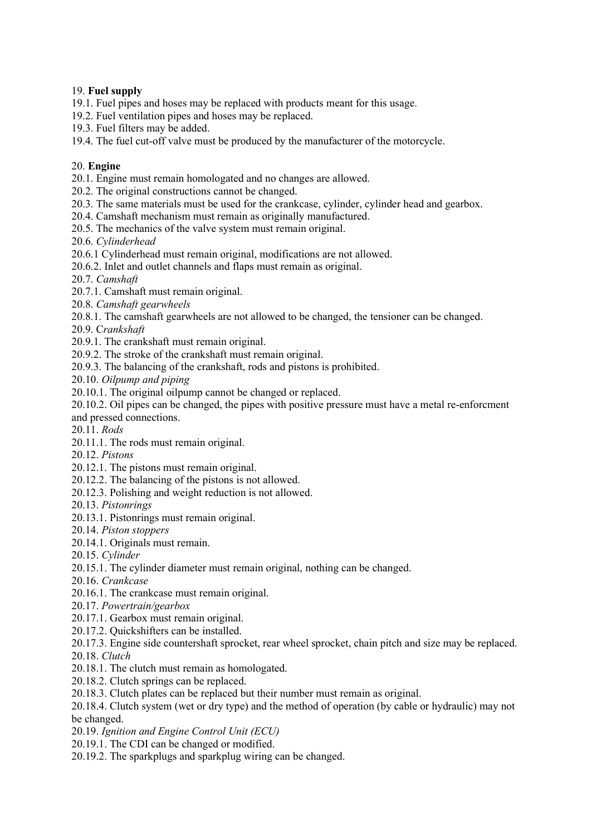# 19. Fuel supply

19.1. Fuel pipes and hoses may be replaced with products meant for this usage.

- 19.2. Fuel ventilation pipes and hoses may be replaced.
- 19.3. Fuel filters may be added.
- 19.4. The fuel cut-off valve must be produced by the manufacturer of the motorcycle.

### 20. Engine

20.1. Engine must remain homologated and no changes are allowed.

- 20.2. The original constructions cannot be changed.
- 20.3. The same materials must be used for the crankcase, cylinder, cylinder head and gearbox.
- 20.4. Camshaft mechanism must remain as originally manufactured.
- 20.5. The mechanics of the valve system must remain original.

20.6. Cylinderhead

20.6.1 Cylinderhead must remain original, modifications are not allowed.

20.6.2. Inlet and outlet channels and flaps must remain as original.

- 20.7. Camshaft
- 20.7.1. Camshaft must remain original.
- 20.8. Camshaft gearwheels
- 20.8.1. The camshaft gearwheels are not allowed to be changed, the tensioner can be changed.
- 20.9. Crankshaft
- 20.9.1. The crankshaft must remain original.
- 20.9.2. The stroke of the crankshaft must remain original.
- 20.9.3. The balancing of the crankshaft, rods and pistons is prohibited.

20.10. Oilpump and piping

20.10.1. The original oilpump cannot be changed or replaced.

20.10.2. Oil pipes can be changed, the pipes with positive pressure must have a metal re-enforcment and pressed connections.

20.11. Rods

- 20.11.1. The rods must remain original.
- 20.12. Pistons
- 20.12.1. The pistons must remain original.
- 20.12.2. The balancing of the pistons is not allowed.
- 20.12.3. Polishing and weight reduction is not allowed.

20.13. Pistonrings

- 20.13.1. Pistonrings must remain original.
- 20.14. Piston stoppers
- 20.14.1. Originals must remain.

20.15. Cylinder

- 20.15.1. The cylinder diameter must remain original, nothing can be changed.
- 20.16. Crankcase
- 20.16.1. The crankcase must remain original.
- 20.17. Powertrain/gearbox
- 20.17.1. Gearbox must remain original.
- 20.17.2. Quickshifters can be installed.
- 20.17.3. Engine side countershaft sprocket, rear wheel sprocket, chain pitch and size may be replaced.
- 20.18. Clutch
- 20.18.1. The clutch must remain as homologated.
- 20.18.2. Clutch springs can be replaced.
- 20.18.3. Clutch plates can be replaced but their number must remain as original.
- 20.18.4. Clutch system (wet or dry type) and the method of operation (by cable or hydraulic) may not be changed.
- 20.19. Ignition and Engine Control Unit (ECU)
- 20.19.1. The CDI can be changed or modified.
- 20.19.2. The sparkplugs and sparkplug wiring can be changed.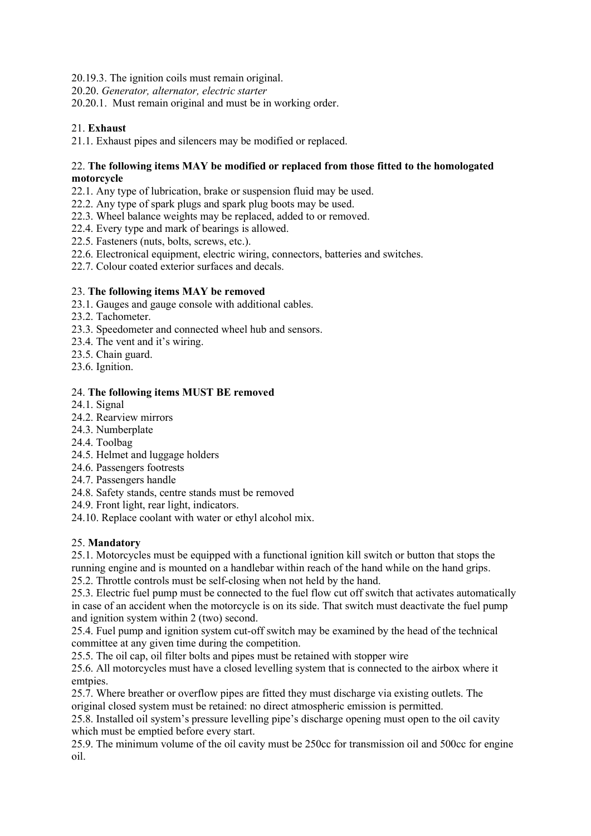20.19.3. The ignition coils must remain original.

20.20. Generator, alternator, electric starter

20.20.1. Must remain original and must be in working order.

# 21. Exhaust

21.1. Exhaust pipes and silencers may be modified or replaced.

### 22. The following items MAY be modified or replaced from those fitted to the homologated motorcycle

22.1. Any type of lubrication, brake or suspension fluid may be used.

- 22.2. Any type of spark plugs and spark plug boots may be used.
- 22.3. Wheel balance weights may be replaced, added to or removed.
- 22.4. Every type and mark of bearings is allowed.
- 22.5. Fasteners (nuts, bolts, screws, etc.).
- 22.6. Electronical equipment, electric wiring, connectors, batteries and switches.
- 22.7. Colour coated exterior surfaces and decals.

# 23. The following items MAY be removed

- 23.1. Gauges and gauge console with additional cables.
- 23.2. Tachometer.
- 23.3. Speedometer and connected wheel hub and sensors.
- 23.4. The vent and it's wiring.
- 23.5. Chain guard.
- 23.6. Ignition.

### 24. The following items MUST BE removed

- 24.1. Signal
- 24.2. Rearview mirrors
- 24.3. Numberplate
- 24.4. Toolbag
- 24.5. Helmet and luggage holders
- 24.6. Passengers footrests
- 24.7. Passengers handle
- 24.8. Safety stands, centre stands must be removed
- 24.9. Front light, rear light, indicators.
- 24.10. Replace coolant with water or ethyl alcohol mix.

# 25. Mandatory

25.1. Motorcycles must be equipped with a functional ignition kill switch or button that stops the running engine and is mounted on a handlebar within reach of the hand while on the hand grips.

25.2. Throttle controls must be self-closing when not held by the hand.

25.3. Electric fuel pump must be connected to the fuel flow cut off switch that activates automatically in case of an accident when the motorcycle is on its side. That switch must deactivate the fuel pump and ignition system within 2 (two) second.

25.4. Fuel pump and ignition system cut-off switch may be examined by the head of the technical committee at any given time during the competition.

25.5. The oil cap, oil filter bolts and pipes must be retained with stopper wire

25.6. All motorcycles must have a closed levelling system that is connected to the airbox where it emtpies.

25.7. Where breather or overflow pipes are fitted they must discharge via existing outlets. The original closed system must be retained: no direct atmospheric emission is permitted.

25.8. Installed oil system's pressure levelling pipe's discharge opening must open to the oil cavity which must be emptied before every start.

25.9. The minimum volume of the oil cavity must be 250cc for transmission oil and 500cc for engine oil.